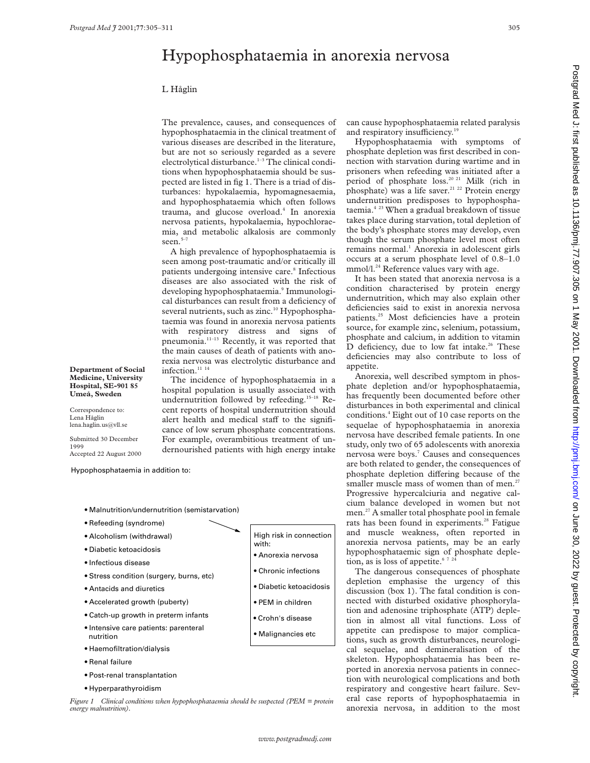# Hypophosphataemia in anorexia nervosa

### L Håglin

The prevalence, causes, and consequences of hypophosphataemia in the clinical treatment of various diseases are described in the literature, but are not so seriously regarded as a severe electrolytical disturbance.<sup>1-3</sup> The clinical conditions when hypophosphataemia should be suspected are listed in fig 1. There is a triad of disturbances: hypokalaemia, hypomagnesaemia, and hypophosphataemia which often follows trauma, and glucose overload.<sup>4</sup> In anorexia nervosa patients, hypokalaemia, hypochloraemia, and metabolic alkalosis are commonly seen $5-7$ 

A high prevalence of hypophosphataemia is seen among post-traumatic and/or critically ill patients undergoing intensive care.<sup>8</sup> Infectious diseases are also associated with the risk of developing hypophosphataemia.<sup>9</sup> Immunological disturbances can result from a deficiency of several nutrients, such as zinc.<sup>10</sup> Hypophosphataemia was found in anorexia nervosa patients with respiratory distress and signs of pneumonia.11–13 Recently, it was reported that the main causes of death of patients with anorexia nervosa was electrolytic disturbance and infection.<sup>11</sup><sup>14</sup>

The incidence of hypophosphataemia in a hospital population is usually associated with undernutrition followed by refeeding.<sup>15–18</sup> Recent reports of hospital undernutrition should alert health and medical staff to the significance of low serum phosphate concentrations. For example, overambitious treatment of undernourished patients with high energy intake

can cause hypophosphataemia related paralysis and respiratory insufficiency.<sup>19</sup>

Hypophosphataemia with symptoms of phosphate depletion was first described in connection with starvation during wartime and in prisoners when refeeding was initiated after a period of phosphate loss.<sup>20 21</sup> Milk (rich in phosphate) was a life saver.<sup>21 22</sup> Protein energy undernutrition predisposes to hypophosphataemia.4 23 When a gradual breakdown of tissue takes place during starvation, total depletion of the body's phosphate stores may develop, even though the serum phosphate level most often remains normal.<sup>1</sup> Anorexia in adolescent girls occurs at a serum phosphate level of 0.8–1.0 mmol/l.<sup>24</sup> Reference values vary with age.

It has been stated that anorexia nervosa is a condition characterised by protein energy undernutrition, which may also explain other deficiencies said to exist in anorexia nervosa patients.25 Most deficiencies have a protein source, for example zinc, selenium, potassium, phosphate and calcium, in addition to vitamin D deficiency, due to low fat intake.<sup>26</sup> These deficiencies may also contribute to loss of appetite.

Anorexia, well described symptom in phosphate depletion and/or hypophosphataemia, has frequently been documented before other disturbances in both experimental and clinical conditions.4 Eight out of 10 case reports on the sequelae of hypophosphataemia in anorexia nervosa have described female patients. In one study, only two of 65 adolescents with anorexia nervosa were boys.<sup>7</sup> Causes and consequences are both related to gender, the consequences of phosphate depletion differing because of the smaller muscle mass of women than of men.<sup>2</sup> Progressive hypercalciuria and negative calcium balance developed in women but not men.27 A smaller total phosphate pool in female rats has been found in experiments.<sup>28</sup> Fatigue and muscle weakness, often reported in anorexia nervosa patients, may be an early hypophosphataemic sign of phosphate depletion, as is loss of appetite. $672$ 

The dangerous consequences of phosphate depletion emphasise the urgency of this discussion (box 1). The fatal condition is connected with disturbed oxidative phosphorylation and adenosine triphosphate (ATP) depletion in almost all vital functions. Loss of appetite can predispose to major complications, such as growth disturbances, neurological sequelae, and demineralisation of the skeleton. Hypophosphataemia has been reported in anorexia nervosa patients in connection with neurological complications and both respiratory and congestive heart failure. Several case reports of hypophosphataemia in

**Department of Social Medicine, University Hospital, SE-901 85 Umeå, Sweden**

Correspondence to: Lena Håglin lena.haglin.us@vll.se

Submitted 30 December 1999 Accepted 22 August 2000

Hypophosphataemia in addition to:

- Malnutrition/undernutrition (semistarvation)
- Refeeding (syndrome)
- Alcoholism (withdrawal)
- Diabetic ketoacidosis
- Infectious disease
- Stress condition (surgery, burns, etc)
- Antacids and diuretics
- Accelerated growth (puberty)
- Catch-up growth in preterm infants
- Intensive care patients: parenteral nutrition
- Haemofiltration/dialysis
- Renal failure
- Post-renal transplantation
- Hyperparathyroidism

Figure 1 Clinical conditions when hypophosphataemia should be suspected (PEM = protein critical case reports of hypophosphataemia in energy malnutrition). *energy malnutrition).*

- High risk in connection with:
	- Anorexia nervosa
	- Chronic infections
	- Diabetic ketoacidosis
	-
	- PEM in children
	- Crohn's disease
	- Malignancies etc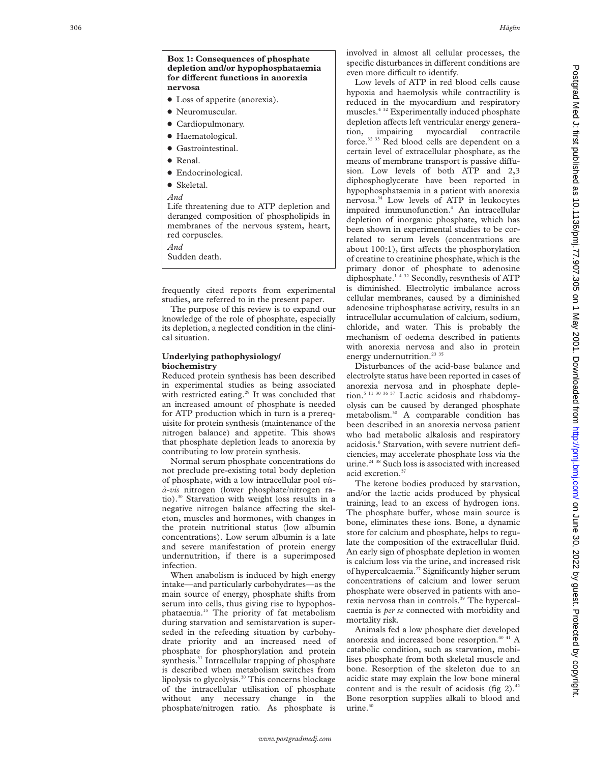**Box 1: Consequences of phosphate**

• Loss of appetite (anorexia).

**depletion and/or hypophosphataemia for di Verent functions in anorexia**

- Neuromuscular.
- Cardiopulmonary.
- Haematological.
- Gastrointestinal.
- Renal.

**nervosa**

- $\bullet$  Endocrinological.
- Skeletal.
- *And*

Life threatening due to ATP depletion and deranged composition of phospholipids in membranes of the nervous system, heart, red corpuscles.

*And*

Sudden death.

frequently cited reports from experimental studies, are referred to in the present paper.

The purpose of this review is to expand our knowledge of the role of phosphate, especially its depletion, a neglected condition in the clinical situation.

#### **Underlying pathophysiology/ biochemistry**

Reduced protein synthesis has been described in experimental studies as being associated with restricted eating.<sup>29</sup> It was concluded that an increased amount of phosphate is needed for ATP production which in turn is a prerequisite for protein synthesis (maintenance of the nitrogen balance) and appetite. This shows that phosphate depletion leads to anorexia by contributing to low protein synthesis.

Normal serum phosphate concentrations do not preclude pre-existing total body depletion of phosphate, with a low intracellular pool *visà-vis* nitrogen (lower phosphate/nitrogen ratio).30 Starvation with weight loss results in a negative nitrogen balance affecting the skeleton, muscles and hormones, with changes in the protein nutritional status (low albumin concentrations). Low serum albumin is a late and severe manifestation of protein energy undernutrition, if there is a superimposed infection.

When anabolism is induced by high energy intake—and particularly carbohydrates—as the main source of energy, phosphate shifts from serum into cells, thus giving rise to hypophosphataemia.15 The priority of fat metabolism during starvation and semistarvation is superseded in the refeeding situation by carbohydrate priority and an increased need of phosphate for phosphorylation and protein synthesis.<sup>31</sup> Intracellular trapping of phosphate is described when metabolism switches from lipolysis to glycolysis.<sup>30</sup> This concerns blockage of the intracellular utilisation of phosphate without any necessary change in the phosphate/nitrogen ratio. As phosphate is

involved in almost all cellular processes, the specific disturbances in different conditions are even more difficult to identify.

Low levels of ATP in red blood cells cause hypoxia and haemolysis while contractility is reduced in the myocardium and respiratory muscles.4 32 Experimentally induced phosphate depletion affects left ventricular energy generation, impairing myocardial contractile force.32 33 Red blood cells are dependent on a certain level of extracellular phosphate, as the means of membrane transport is passive diffusion. Low levels of both ATP and 2,3 diphosphoglycerate have been reported in hypophosphataemia in a patient with anorexia nervosa.34 Low levels of ATP in leukocytes impaired immunofunction. <sup>4</sup> An intracellular depletion of inorganic phosphate, which has been shown in experimental studies to be correlated to serum levels (concentrations are about 100:1), first affects the phosphorylation of creatine to creatinine phosphate, which is the primary donor of phosphate to adenosine diphosphate.<sup>1432</sup> Secondly, resynthesis of ATP is diminished. Electrolytic imbalance across cellular membranes, caused by a diminished adenosine triphosphatase activity, results in an intracellular accumulation of calcium, sodium, chloride, and water. This is probably the mechanism of oedema described in patients with anorexia nervosa and also in protein energy undernutrition. $233$ 

Disturbances of the acid-base balance and electrolyte status have been reported in cases of anorexia nervosa and in phosphate depletion.5 11 30 36 37 Lactic acidosis and rhabdomyolysis can be caused by deranged phosphate metabolism.30 A comparable condition has been described in an anorexia nervosa patient who had metabolic alkalosis and respiratory acidosis. <sup>6</sup> Starvation, with severe nutrient deficiencies, may accelerate phosphate loss via the urine.<sup>24 38</sup> Such loss is associated with increased acid excretion.<sup>37</sup>

The ketone bodies produced by starvation, and/or the lactic acids produced by physical training, lead to an excess of hydrogen ions. The phosphate buffer, whose main source is bone, eliminates these ions. Bone, a dynamic store for calcium and phosphate, helps to regulate the composition of the extracellular fluid. An early sign of phosphate depletion in women is calcium loss via the urine, and increased risk of hypercalcaemia.<sup>27</sup> Significantly higher serum concentrations of calcium and lower serum phosphate were observed in patients with anorexia nervosa than in controls.<sup>39</sup> The hypercalcaemia is *per se* connected with morbidity and mortality risk.

Animals fed a low phosphate diet developed anorexia and increased bone resorption.<sup>40 41</sup> A catabolic condition, such as starvation, mobilises phosphate from both skeletal muscle and bone. Resorption of the skeleton due to an acidic state may explain the low bone mineral content and is the result of acidosis (fig  $2$ ).<sup>42</sup> Bone resorption supplies alkali to blood and urine. $30$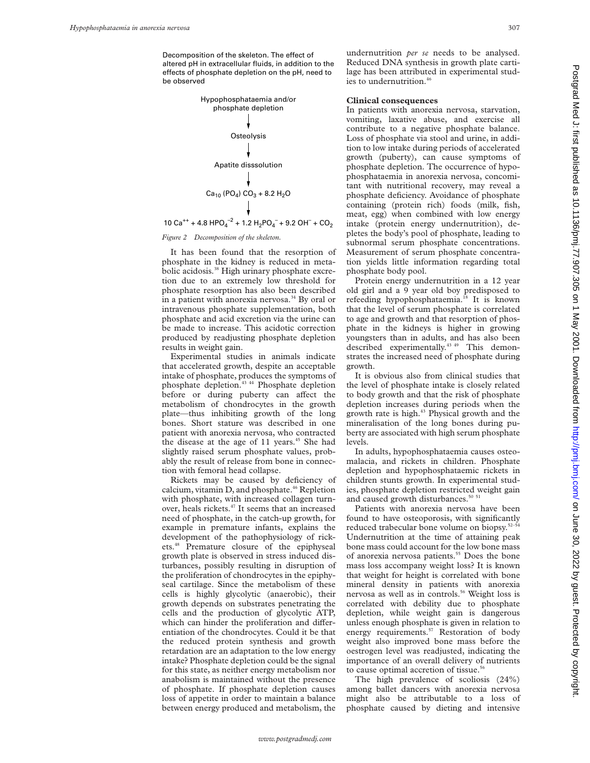Decomposition of the skeleton. The effect of altered pH in extracellular fluids, in addition to the effects of phosphate depletion on the pH, need to be observed



*Figure 2 Decomposition of the skeleton.*

It has been found that the resorption of phosphate in the kidney is reduced in metabolic acidosis.<sup>38</sup> High urinary phosphate excretion due to an extremely low threshold for phosphate resorption has also been described in a patient with anorexia nervosa.<sup>34</sup> By oral or intravenous phosphate supplementation, both phosphate and acid excretion via the urine can be made to increase. This acidotic correction produced by readjusting phosphate depletion results in weight gain.

Experimental studies in animals indicate that accelerated growth, despite an acceptable intake of phosphate, produces the symptoms of phosphate depletion.43 44 Phosphate depletion before or during puberty can affect the metabolism of chondrocytes in the growth plate—thus inhibiting growth of the long bones. Short stature was described in one patient with anorexia nervosa, who contracted the disease at the age of 11 years. $45$  She had slightly raised serum phosphate values, probably the result of release from bone in connection with femoral head collapse.

Rickets may be caused by deficiency of calcium, vitamin  $D$ , and phosphate.<sup>46</sup> Repletion with phosphate, with increased collagen turnover, heals rickets.<sup>47</sup> It seems that an increased need of phosphate, in the catch-up growth, for example in premature infants, explains the development of the pathophysiology of rickets.48 Premature closure of the epiphyseal growth plate is observed in stress induced disturbances, possibly resulting in disruption of the proliferation of chondrocytes in the epiphyseal cartilage. Since the metabolism of these cells is highly glycolytic (anaerobic), their growth depends on substrates penetrating the cells and the production of glycolytic ATP, which can hinder the proliferation and differentiation of the chondrocytes. Could it be that the reduced protein synthesis and growth retardation are an adaptation to the low energy intake? Phosphate depletion could be the signal for this state, as neither energy metabolism nor anabolism is maintained without the presence of phosphate. If phosphate depletion causes loss of appetite in order to maintain a balance between energy produced and metabolism, the

undernutrition *per se* needs to be analysed. Reduced DNA synthesis in growth plate cartilage has been attributed in experimental studies to undernutrition.<sup>46</sup>

#### **Clinical consequences**

In patients with anorexia nervosa, starvation, vomiting, laxative abuse, and exercise all contribute to a negative phosphate balance. Loss of phosphate via stool and urine, in addition to low intake during periods of accelerated growth (puberty), can cause symptoms of phosphate depletion. The occurrence of hypophosphataemia in anorexia nervosa, concomitant with nutritional recovery, may reveal a phosphate deficiency. Avoidance of phosphate containing (protein rich) foods (milk, fish, meat, egg) when combined with low energy intake (protein energy undernutrition), depletes the body's pool of phosphate, leading to subnormal serum phosphate concentrations. Measurement of serum phosphate concentration yields little information regarding total phosphate body pool.

Protein energy undernutrition in a 12 year old girl and a 9 year old boy predisposed to refeeding hypophosphataemia.<sup>18</sup> It is known that the level of serum phosphate is correlated to age and growth and that resorption of phosphate in the kidneys is higher in growing youngsters than in adults, and has also been described experimentally.<sup>43 49</sup> This demonstrates the increased need of phosphate during growth.

It is obvious also from clinical studies that the level of phosphate intake is closely related to body growth and that the risk of phosphate depletion increases during periods when the growth rate is high.<sup>43</sup> Physical growth and the mineralisation of the long bones during puberty are associated with high serum phosphate levels.

In adults, hypophosphataemia causes osteomalacia, and rickets in children. Phosphate depletion and hypophosphataemic rickets in children stunts growth. In experimental studies, phosphate depletion restricted weight gain and caused growth disturbances.<sup>50</sup>

Patients with anorexia nervosa have been found to have osteoporosis, with significantly reduced trabecular bone volume on biopsy.52–54 Undernutrition at the time of attaining peak bone mass could account for the low bone mass of anorexia nervosa patients.<sup>55</sup> Does the bone mass loss accompany weight loss? It is known that weight for height is correlated with bone mineral density in patients with anorexia nervosa as well as in controls.<sup>56</sup> Weight loss is correlated with debility due to phosphate depletion, while weight gain is dangerous unless enough phosphate is given in relation to energy requirements.<sup>57</sup> Restoration of body weight also improved bone mass before the oestrogen level was readjusted, indicating the importance of an overall delivery of nutrients to cause optimal accretion of tissue.<sup>56</sup>

The high prevalence of scoliosis (24%) among ballet dancers with anorexia nervosa might also be attributable to a loss of phosphate caused by dieting and intensive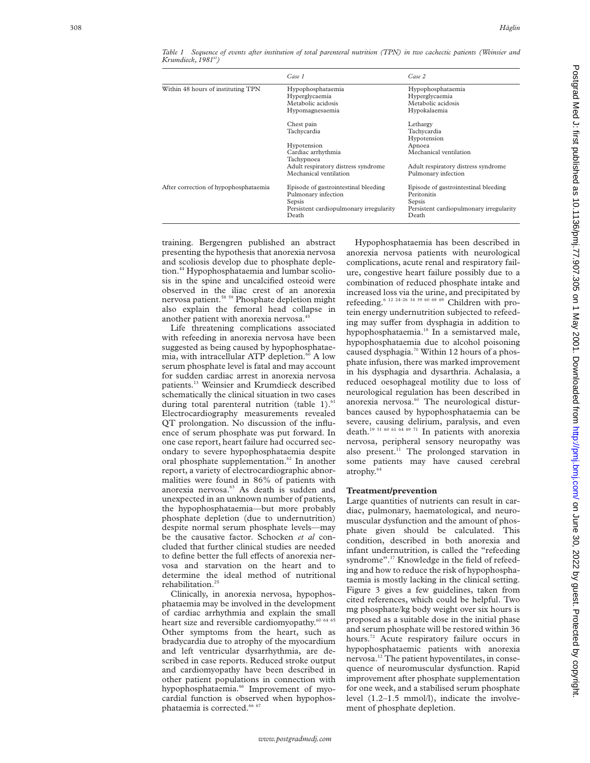|                                       | Case 1                                  | Case 2                                  |
|---------------------------------------|-----------------------------------------|-----------------------------------------|
| Within 48 hours of instituting TPN    | Hypophosphataemia                       | Hypophosphataemia                       |
|                                       | Hyperglycaemia                          | Hyperglycaemia                          |
|                                       | Metabolic acidosis                      | Metabolic acidosis                      |
|                                       | Hypomagnesaemia                         | Hypokalaemia                            |
|                                       | Chest pain                              | Lethargy                                |
|                                       | Tachycardia                             | Tachycardia                             |
|                                       |                                         | Hypotension                             |
|                                       | Hypotension                             | Apnoea                                  |
|                                       | Cardiac arrhythmia                      | Mechanical ventilation                  |
|                                       | Tachypnoea                              |                                         |
|                                       | Adult respiratory distress syndrome     | Adult respiratory distress syndrome     |
|                                       | Mechanical ventilation                  | Pulmonary infection                     |
| After correction of hypophosphataemia | Episode of gastrointestinal bleeding    | Episode of gastrointestinal bleeding    |
|                                       | Pulmonary infection                     | Peritonitis                             |
|                                       | Sepsis                                  | Sepsis                                  |
|                                       | Persistent cardiopulmonary irregularity | Persistent cardiopulmonary irregularity |
|                                       | Death                                   | Death                                   |

*Table 1 Sequence of events after institution of total parenteral nutrition (TPN) in two cachectic patients (Weinsier and Krumdieck, 198161)*

training. Bergengren published an abstract presenting the hypothesis that anorexia nervosa and scoliosis develop due to phosphate depletion.<sup>44</sup> Hypophosphataemia and lumbar scoliosis in the spine and uncalcified osteoid were observed in the iliac crest of an anorexia nervosa patient.<sup>58 59</sup> Phosphate depletion might also explain the femoral head collapse in another patient with anorexia nervosa.<sup>45</sup>

Life threatening complications associated with refeeding in anorexia nervosa have been suggested as being caused by hypophosphataemia, with intracellular ATP depletion.<sup>60</sup> A low serum phosphate level is fatal and may account for sudden cardiac arrest in anorexia nervosa patients.13 Weinsier and Krumdieck described schematically the clinical situation in two cases during total parenteral nutrition (table 1). $61$ Electrocardiography measurements revealed QT prolongation. No discussion of the influence of serum phosphate was put forward. In one case report, heart failure had occurred secondary to severe hypophosphataemia despite oral phosphate supplementation.<sup>62</sup> In another report, a variety of electrocardiographic abnormalities were found in 86% of patients with anorexia nervosa.<sup>63</sup> As death is sudden and unexpected in an unknown number of patients, the hypophosphataemia—but more probably phosphate depletion (due to undernutrition) despite normal serum phosphate levels—may be the causative factor. Schocken *et al* concluded that further clinical studies are needed to define better the full effects of anorexia nervosa and starvation on the heart and to determine the ideal method of nutritional rehabilitation.<sup>2</sup>

Clinically, in anorexia nervosa, hypophosphataemia may be involved in the development of cardiac arrhythmia and explain the small heart size and reversible cardiomyopathy.<sup>60 64 65</sup> Other symptoms from the heart, such as bradycardia due to atrophy of the myocardium and left ventricular dysarrhythmia, are described in case reports. Reduced stroke output and cardiomyopathy have been described in other patient populations in connection with hypophosphataemia.<sup>66</sup> Improvement of myocardial function is observed when hypophosphataemia is corrected.<sup>66</sup>

Hypophosphataemia has been described in anorexia nervosa patients with neurological complications, acute renal and respiratory failure, congestive heart failure possibly due to a combination of reduced phosphate intake and increased loss via the urine, and precipitated by refeeding.<sup>6 12 24–26 34 39 60 68 69</sup> Children with protein energy undernutrition subjected to refeeding may suffer from dysphagia in addition to hypophosphataemia.18 In a semistarved male, hypophosphataemia due to alcohol poisoning caused dysphagia.<sup>70</sup> Within 12 hours of a phosphate infusion, there was marked improvement in his dysphagia and dysarthria. Achalasia, a reduced oesophageal motility due to loss of neurological regulation has been described in anorexia nervosa.<sup>60</sup> The neurological disturbances caused by hypophosphataemia can be severe, causing delirium, paralysis, and even death.19 31 60 61 64 69 71 In patients with anorexia nervosa, peripheral sensory neuropathy was also present. $^{11}$  The prolonged starvation in some patients may have caused cerebral atrophy.64

### **Treatment/prevention**

Large quantities of nutrients can result in cardiac, pulmonary, haematological, and neuromuscular dysfunction and the amount of phosphate given should be calculated. This condition, described in both anorexia and infant undernutrition, is called the "refeeding syndrome".17 Knowledge in the field of refeeding and how to reduce the risk of hypophosphataemia is mostly lacking in the clinical setting. Figure 3 gives a few guidelines, taken from cited references, which could be helpful. Two mg phosphate/kg body weight over six hours is proposed as a suitable dose in the initial phase and serum phosphate will be restored within 36 hours.<sup>72</sup> Acute respiratory failure occurs in hypophosphataemic patients with anorexia nervosa.12 The patient hypoventilates, in consequence of neuromuscular dysfunction. Rapid improvement after phosphate supplementation for one week, and a stabilised serum phosphate level (1.2–1.5 mmol/l), indicate the involvement of phosphate depletion.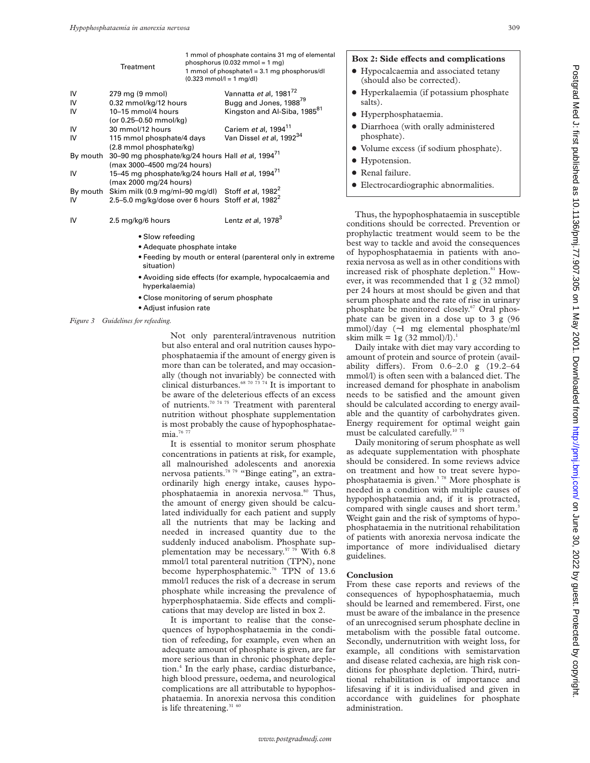|          | <b>Treatment</b>                                               | 1 mmol of phosphate contains 31 mg of elemental<br>phosphorus $(0.032 \text{ mmol} = 1 \text{ mg})$<br>1 mmol of phosphate/l = 3.1 mg phosphorus/dl<br>$(0.323 \text{ mmol/l} = 1 \text{ mg/dl})$ |                                          |
|----------|----------------------------------------------------------------|---------------------------------------------------------------------------------------------------------------------------------------------------------------------------------------------------|------------------------------------------|
| IV       | 279 mg (9 mmol)                                                |                                                                                                                                                                                                   | Vannatta et al, 1981 <sup>72</sup>       |
| IV       | 0.32 mmol/kg/12 hours                                          |                                                                                                                                                                                                   | Bugg and Jones, 1988 <sup>79</sup>       |
| IV       | 10-15 mmol/4 hours                                             |                                                                                                                                                                                                   | Kingston and Al-Siba, 1985 <sup>81</sup> |
|          | (or 0.25-0.50 mmol/kg)                                         |                                                                                                                                                                                                   |                                          |
| IV       | 30 mmol/12 hours                                               |                                                                                                                                                                                                   | Cariem et al, 1994 <sup>11</sup>         |
| IV       | 115 mmol phosphate/4 days                                      |                                                                                                                                                                                                   | Van Dissel et al, 1992 <sup>34</sup>     |
|          | $(2.8 \text{ mmol phosphate/kg})$                              |                                                                                                                                                                                                   |                                          |
| By mouth | 30-90 mg phosphate/kg/24 hours Hall et al, 1994 <sup>71</sup>  |                                                                                                                                                                                                   |                                          |
|          | (max 3000–4500 mg/24 hours)                                    |                                                                                                                                                                                                   |                                          |
| IV       | 15-45 mg phosphate/kg/24 hours Hall et al, 1994 <sup>/1</sup>  |                                                                                                                                                                                                   |                                          |
|          | (max 2000 mg/24 hours)                                         |                                                                                                                                                                                                   |                                          |
| By mouth | Skim milk (0.9 mg/ml-90 mg/dl) Stoff et al, $1982^2$           |                                                                                                                                                                                                   |                                          |
| IV       | 2.5-5.0 mg/kg/dose over 6 hours Stoff et al, 1982 <sup>2</sup> |                                                                                                                                                                                                   |                                          |
|          |                                                                |                                                                                                                                                                                                   |                                          |
| IV       | 2.5 mg/kg/6 hours                                              |                                                                                                                                                                                                   | Lentz et al, $1978^3$                    |
|          |                                                                |                                                                                                                                                                                                   |                                          |

- Slow refeeding
- Adequate phosphate intake
- Feeding by mouth or enteral (parenteral only in extreme situation)
- Avoiding side effects (for example, hypocalcaemia and hyperkalaemia)
- Close monitoring of serum phosphate
- Adjust infusion rate
- *Figure 3 Guidelines for refeeding.*

Not only parenteral/intravenous nutrition but also enteral and oral nutrition causes hypophosphataemia if the amount of energy given is more than can be tolerated, and may occasionally (though not invariably) be connected with clinical disturbances.68 70 73 74 It is important to be aware of the deleterious effects of an excess of nutrients.<sup>70 74 75</sup> Treatment with parenteral nutrition without phosphate supplementation is most probably the cause of hypophosphataemia.<sup>76</sup> 77

It is essential to monitor serum phosphate concentrations in patients at risk, for example, all malnourished adolescents and anorexia nervosa patients.78 79 "Binge eating", an extraordinarily high energy intake, causes hypophosphataemia in anorexia nervosa.<sup>80</sup> Thus, the amount of energy given should be calculated individually for each patient and supply all the nutrients that may be lacking and needed in increased quantity due to the suddenly induced anabolism. Phosphate supplementation may be necessary.<sup>57 79</sup> With 6.8 mmol/l total parenteral nutrition (TPN), none become hyperphosphatemic.<sup>76</sup> TPN of 13.6 mmol/l reduces the risk of a decrease in serum phosphate while increasing the prevalence of hyperphosphataemia. Side effects and complications that may develop are listed in box 2.

It is important to realise that the consequences of hypophosphataemia in the condition of refeeding, for example, even when an adequate amount of phosphate is given, are far more serious than in chronic phosphate depletion.4 In the early phase, cardiac disturbance, high blood pressure, oedema, and neurological complications are all attributable to hypophosphataemia. In anorexia nervosa this condition is life threatening. $3160$ 

#### Box 2: Side effects and complications

- Hypocalcaemia and associated tetany (should also be corrected).
- $\bullet$  Hyperkalaemia (if potassium phosphate salts).
- $\bullet$  Hyperphosphataemia.
- $\bullet$  Diarrhoea (with orally administered phosphate).
- $\bullet$  Volume excess (if sodium phosphate).
- $\bullet$  Hypotension.
- Renal failure.
- **•** Electrocardiographic abnormalities.

Thus, the hypophosphataemia in susceptible conditions should be corrected. Prevention or prophylactic treatment would seem to be the best way to tackle and avoid the consequences of hypophosphataemia in patients with anorexia nervosa as well as in other conditions with increased risk of phosphate depletion.<sup>81</sup> However, it was recommended that 1 g (32 mmol) per 24 hours at most should be given and that serum phosphate and the rate of rise in urinary phosphate be monitored closely.<sup>67</sup> Oral phosphate can be given in a dose up to 3 g (96 mmol)/day (∼1 mg elemental phosphate/ml skim milk = 1g  $(32 \text{ mmol})/l$ ).<sup>1</sup>

Daily intake with diet may vary according to amount of protein and source of protein (availability differs). From  $0.6-2.0$  g  $(19.2-64)$ mmol/l) is often seen with a balanced diet. The increased demand for phosphate in anabolism needs to be satisfied and the amount given should be calculated according to energy available and the quantity of carbohydrates given. Energy requirement for optimal weight gain must be calculated carefully.<sup>10 75</sup>

Daily monitoring of serum phosphate as well as adequate supplementation with phosphate should be considered. In some reviews advice on treatment and how to treat severe hypophosphataemia is given. $378$  More phosphate is needed in a condition with multiple causes of hypophosphataemia and, if it is protracted, compared with single causes and short term.<sup>3</sup> Weight gain and the risk of symptoms of hypophosphataemia in the nutritional rehabilitation of patients with anorexia nervosa indicate the importance of more individualised dietary guidelines.

#### **Conclusion**

From these case reports and reviews of the consequences of hypophosphataemia, much should be learned and remembered. First, one must be aware of the imbalance in the presence of an unrecognised serum phosphate decline in metabolism with the possible fatal outcome. Secondly, undernutrition with weight loss, for example, all conditions with semistarvation and disease related cachexia, are high risk conditions for phosphate depletion. Third, nutritional rehabilitation is of importance and lifesaving if it is individualised and given in accordance with guidelines for phosphate administration.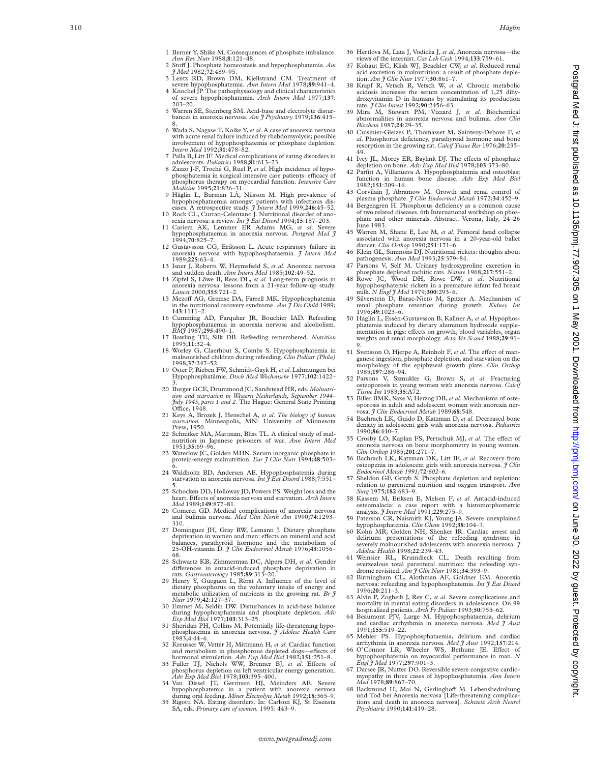- 2 Sto V J. Phosphate homeostasis and hypophosphatemia. *Am J Med* 1982;**72**:489–95.
- 3 Lentz RD, Brown DM, Kjellstrand CM. Treatment of severe hypophosphatemia. *Ann Intern Med* 1978;**89**:941–4. 4 Knochel JP. The pathophysiology and clinical characteristic
- of severe hypophosphatemia. *Arch Intern Med* 1977;**137** : 203–20. 5 Warren SE, Steinberg SM. Acid-base and electrolyte distur-
- bances in anorexia nervosa. *Am J Psychiatry* 1979;**136**:415– 8. 6 Wada S, Nagase T, Koike Y, *et al*. A case of anorexia nervosa
- with acute renal failure induced by rhabdomyolysis; possible involvement of hypophosphatemia or phosphate depletion. *Intern Med* 1992;**31**:478–82.
- 7 Palla B, Litt IF. Medical complications of eating disorders in adolescents. *Pediatrics* 1988;**81**:613–23.
- 8 Zazzo J-F, Troché G, Ruel P, *et al*. High incidence of hypophosphatemia in surgical intensive care patients: efficacy of phosphorus therapy on myocardial function. *Intensive Care Medicine* 1995;**21**:826–31.
- 9 Håglin L, Burman LÅ, Nilsson M. High prevalence of hypophosphataemia amongst patients with infectious dis-A retrospective study.  $\hat{\jmath}$  Intern Med 1999;246:45-52. 10 Rock CL, Curran-Celentano J. Nutritional disorder of ano-
- rexia nervosa: a review. *Int J Eat Disord* 1994;**15**:187–203.
- 11 Cariem AK, Lemmer ER Adams MG, *et al*. Severe hypophosphataemia in anorexia nervosa. *Postgrad Med J* 1994;**70**:825–7.
- 12 Gustavsson CG, Eriksson L. Acute respiratory failure in anorexia nervosa with hypophosphataemia. *J Intern Med* 1989;**225**:63–4.
- 13 Isner J, Roberts W, Heymsfield S, *et al*. Anorexia nervosa and sudden death. *Ann Intern Med* 1985;**102**:49–52.
- 14 Zipfel S, Löwe B, Reas DL, *et al*. Long-term prognosis in anorexia nervosa: lessons from a 21-year follow-up study. *Lancet* 2000;**355**:721–2.
- 15 Mezoff AG, Gremse DA, Farrell MK. Hypophosphatemia<br>in the nutritional recovery syndrome. *Am J Dis Child* 1989; **143**:1111–2.
- 16 Cumming AD, Farquhar JR, Bouchier IAD. Refeeding hypophosphataemia in anorexia nervosa and alcoholism. *BMJ* 1987;**295**:490–1.
- 17 Bowling TE, Silk DB. Refeeding remembered. *Nutrition* 1995;**11**:32–4.
- 18 Worley G, Claerhout S, Combs S. Hypophosphatemia in malnourished children during refeeding. *Clin Pediatr (Phila)* 1998;**37**:347–52. 19 Oster P, Rieben FW, Schmidt-Gayk H, *et al*. Lähmungen bei
- Hypophosphatämie. *Dtsch Med Wochenschr* 1977;**102**:1422–
- 20 Burger GCE, Drummond JC, Sandstead HR, eds. Malnutri-20 Burger GCE, Drummond JC, Sandstead HR, eds. *Malnutri-*<br> *ition and starvation in Western Netherlands, September 1944–*<br> *July 1945, parts 1 and 2.* The Hague: General State Printing<br>
Office, 1948.
- 21 Keys A, Brozek J, Henschel A, *et al* . *The biology of human starvation.* Minneapolis, MN: University of Minnesota Press, 1950.
- 22 Schnitker MA, Mattman, Bliss TL. A clinical study of malnutrition in Japanese prisoners of war. *Ann Intern Med* 1951;**35**:69–96.
- 23 Waterlow JC, Golden MHN. Serum inorganic phosphate in protein-energy malnutrition. *Eur J Clin Nutr* 1994;**48**:503–
- 6. 24 Waldholtz BD, Andersen AE. Hypophosphatemia during starvation in anorexia nervosa. *Int J Eat Disord* 1988; **7**:551–
- 5. 25 Schocken DD, Holloway JD, Powers PS. Weight loss and the heart. E Vects of anorexia nervosa and starvation. *Arch Intern Med* 1989;**149**:877–81.
- 26 Comerci GD. Medical complications of anorexia nervosa and bulimia nervosa. *Med Clin North Am* 1990;**74**:1293– 310.
- 27 Dominguez JH, Gray RW, Lemann J. Dietary phosphate deprivation in women and men: effects on mineral and acid<br>balances, parathyroid hormone and the metabolism of 25-OH-vitamin D. *J Clin Endocrinol Metab* 1976;**43**:1056– 68.
- 28 Schwartz KB, Zimmerman DC, Alpers DH, *et al*. Gender di Verences in antacid-induced phosphate deprivation in rats. *Gastroenterology* 1985;**89**:313–20.
- 29 Henry Y, Gueguen L, Rérat A. Influence of the level of dietary phosphorus on the voluntary intake of energy and metabolic utilization of nutrients in the growing rat. *Br J Nutr* 1979;**42**:127–37.
- 30 Emmet M, Seldin DW. Disturbances in acid-base balance during hypophosphatemia and phosphate depletion. *Adv Exp Med Biol* 1977;**103**:313–25.
- 31 Sheridan PH, Collins M. Potentially life-threatening hypophosphatemia in anorexia nervosa. *J Adolesc Health Care* 1983; **4**:44–6.
- 32 Kreusser W, Vetter H, Mittmann H, *et al*. Cardiac function and metabolism in phosphorous depleted dogs—effects of<br>hormonal stimulation. *Adv Exp Med Biol* 1982;151:251–8.<br>33 Fuller TJ, Nichols WW, Brenner BJ, *et al*. Effects of
- phosphorus depletion on left ventricular energy generation. *Adv Exp Med Biol* 1978;**103**:395–400.
- 34 Van Dissel JT, Gerritsen HJ, Meinders AE. Severe<br>hypophosphatemia in a patient with anorexia nervosa<br>during oral feeding. *Miner Electrolyte Metab* 1992;18:365–9.<br>35 Rigotti NA. Eating disorders. In: Carlson KJ, St Eise
- SA, eds. *Primary care of women.* 1995: 443–9.
- 36 Hertlova M, Lata J, Vodicka J, *et al*. Anorexia nervosa—the views of the internist. *Cas Lek Cesk* 1994;**133**:759–61.
- 37 Kohaut EC, Klish WJ, Beachler CW, *et al*. Reduced renal acid excretion in malnutrition: a result of phosphate depletion. *Am J Clin Nutr* 1977;**30**:861–7.
- 38 Krapf R, Vetsch R, Vetsch W, *et al*. Chronic metabolic acidosis increases the serum concentration of 1,25 dihydroxyvitamin D in humans by stimulating its production rate. *J Clin Invest* 1992;**90**:2456–63.
- 39 Mira M, Stewart PM, Vizzard J, *et al*. Biochemical abnormalities in anorexia nervosa and bulimia. *Ann Clin Biochem* 1987;**24**:29–35.
- 40 Cuisinier-Gleizes P, Thomasset M, Sainteny-Debove F, *et al*. Phosphorus deficiency, parathyroid hormone and bone resorption in the growing rat. *Calcif Tissue Res* 1976;**20**:235– 49.
- 41 Ivey JL, Morey ER, Baylink DJ. The e Vects of phosphate depletion on bone. *Adv Exp Med Biol* 1978;**103**:373–80.
- 42 Parfitt A, Villanueva A. Hypophosphatemia and osteoblast function in human bone disease. *Adv Exp Med Biol* 1982;**151**:209–16.
- 43 Corvilain J, Abramow M. Growth and renal control of plasma phosphate. *J Clin Endocrinol Metab* 1972;**34**:452–9.
- 44 Bergengren H. Phosphorus deficiency as a common cause of two related diseases. 6th International workshop on phosphate and other minerals. Abstract. Verona, Italy, 24–26 *I*une 1983
- 45 Warren M, Shane E, Lee M, *et al*. Femoral head collapse associated with anorexia nervosa in a 20-year-old ballet dancer. *Clin Orthop* 1990;**251**:171–6.
- 46 Klein GL, Simmons DJ. Nutritional rickets: thoughts about
- pathogenesis. *Ann Med* 1993;**25**:379–84. 47 Parsons V, Self M. Urinary hydroxyproline excretion in phosphate depleted rachitic rats. *Nature* 1968;**217**:551–2.
- 48 Rowe JC, Wood DH, Rowe DW, *et al*. Nutritional hypophosphatemic rickets in a premature infant fed breast milk. *N Engl J Med* 1979;**300**:293–6.
- 49 Silverstein D, Barac-Nieto M, Spitzer A. Mechanism of renal phosphate retention during growth. *Kidney Int* 1996;**49**:1023–6.
- 50 Håglin L, Essén-Gustavsson B, Kallner A, *et al*. Hypophosphatemia induced by dietary aluminum hydroxide supplementation in pigs: effects on growth, blood variables, organ weights and renal morphology. *Acta Vet Scand* 1988;**29**:91– 9.
- 51 Svensson O, Hjerpe A, Reinholt F, et al. The effect of manganese ingestion, phosphate depletion, and starvation on the morphology of the epiphyseal growth plate. *Clin Orthop* 1985;**197**:286–94.
- 52 Parsons V, Szmukler G, Brown S, *et al*. Fracturing osteoporosis in young women with anorexia nervosa. *Calcif Tissue Int* 1983;**35**:A72.
- 53 Biller BMK, Saxe V, Herzog DB, *et al*. Mechanisms of osteoporosis in adult and adolescent women with anorexia nervosa. *J Clin Endocrinol Metab* 1989;**68**:548.
- 54 Bachrach LK, Guido D, Katzman D, *et al*. Decreased bone density in adolescent girls with anorexia nervosa. *Pediatrics* 1990;**86**:440–7.
- 55 Crosby LO, Kaplan FS, Pertschuk MJ, et al. The effect of anorexia nervosa on bone morphometry in young women. *Clin Orthop* 1985;**201**:271–7.
- 56 Bachrach LK, Katzman DK, Litt IF, *et al*. Recovery from osteopenia in adolescent girls with anorexia nervosa. *J Clin Endocrinol Metab 1991;***72***:602–6.*
- 57 Sheldon GF, Grzyb S. Phosphate depletion and repletion: relation to parenteral nutrition and oxygen transport. *Ann Surg* 1975;**182**:683–9.
- 58 Kassem M, Eriksen E, Melsen F, *et al*. Antacid-induced osteomalacia: a case report with a histomorphometric analysis. *J Intern Med* 1991;**229**:275–9.
- 59 Paterson CR, Naismith KJ, Young JA. Severe unexplained hypophosphatemia. *Clin Chem* 1992;**38**:104–7.
- 60 Kohn MR, Golden NH, Shenker IR. Cardiac arrest and delirium: presentations of the refeeding syndrome in severely malnourished adolescents with anorexia nervosa. *J Adolesc Health* 1998;**22**:239–43.
- 61 Weinsier RL, Krumdieck CL. Death resulting from overzealous total parenteral nutrition: the refeeding syn-
- drome revisited. *Am J Clin Nutr* 1981;**34**:393–9. 62 Birmingham CL, Alothman AF, Goldner EM. Anorexia nervosa: refeeding and hypophosphatemia. *Int J Eat Disord* 1996;**20**:211–3.
- 63 Alvin P, Zogheib J, Rey C, *et al*. Severe complications and mortality in mental eating disorders in adolescence. On 99 hospitalized patients. *Arch Fr Pediatr* 1993;**50**:755–62.
- 64 Beaumont PJV, Large M. Hypophosphataemia, delirium and cardiac arrhythmia in anorexia nervosa. *Med J Aust* 1991;**155**:519–22.
- 65 Mehler PS. Hypophosphataemia, delirium and cardiac
- arrhythmia in anorexia nervosa. *Med J Aust* 1992;157:214.<br>66 O'Connor LR, Wheeler WS, Bethune JE. Effect of hypophosphatemia on myocardial performance in man. *N Engl J Med* 1977;**297**:901–3.
- 67 Darsee JR, Nutter DO. Reversible severe congestive cardiomyopathy in three cases of hypophosphatemia. *Ann Intern Med* 1978;**89**:867–70.
- 68 Backmund H, Mai N, Gerlinghoff M. Lebensbedrohung und Tod bei Anorexia nervosa [Life-threatening complica-tions and death in anorexia nervosa]. *Schweiz Arch Neurol Psychiatrie* 1990;**141**:419–28.